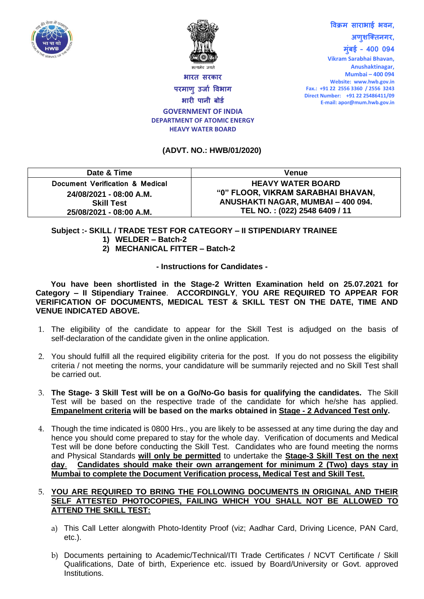



**विक्रम साराभाई भिन, अणुशक्तिनगर, मुुंबई – 400 094**

**Vikram Sarabhai Bhavan, Anushaktinagar, Mumbai – 400 094 Website: www.hwb.gov.in Fax.: +91 22 2556 3360 / 2556 3243 Direct Number: +91 22 25486411/09 E-mail: apor@mum.hwb.gov.in**

**भारि सरकार**

**परमाणुउर्ाा विभाग भारी पानी बोर्ा GOVERNMENT OF INDIA**

## **DEPARTMENT OF ATOMIC ENERGY HEAVY WATER BOARD**

## **(ADVT. NO.: HWB/01/2020)**

| Date & Time                     | <b>Venue</b>                       |
|---------------------------------|------------------------------------|
| Document Verification & Medical | <b>HEAVY WATER BOARD</b>           |
| 24/08/2021 - 08:00 A.M.         | "0" FLOOR, VIKRAM SARABHAI BHAVAN, |
| <b>Skill Test</b>               | ANUSHAKTI NAGAR, MUMBAI - 400 094. |
| 25/08/2021 - 08:00 A.M.         | TEL NO.: (022) 2548 6409 / 11      |

## **Subject :- SKILL / TRADE TEST FOR CATEGORY – II STIPENDIARY TRAINEE**

- **1) WELDER – Batch-2**
- **2) MECHANICAL FITTER – Batch-2**

**- Instructions for Candidates -**

**You have been shortlisted in the Stage-2 Written Examination held on 25.07.2021 for Category – II Stipendiary Trainee**. **ACCORDINGLY**, **YOU ARE REQUIRED TO APPEAR FOR VERIFICATION OF DOCUMENTS, MEDICAL TEST & SKILL TEST ON THE DATE, TIME AND VENUE INDICATED ABOVE.** 

- 1. The eligibility of the candidate to appear for the Skill Test is adjudged on the basis of self-declaration of the candidate given in the online application.
- 2. You should fulfill all the required eligibility criteria for the post. If you do not possess the eligibility criteria / not meeting the norms, your candidature will be summarily rejected and no Skill Test shall be carried out.
- 3. **The Stage- 3 Skill Test will be on a Go/No-Go basis for qualifying the candidates.** The Skill Test will be based on the respective trade of the candidate for which he/she has applied. **Empanelment criteria will be based on the marks obtained in Stage - 2 Advanced Test only.**
- 4. Though the time indicated is 0800 Hrs., you are likely to be assessed at any time during the day and hence you should come prepared to stay for the whole day. Verification of documents and Medical Test will be done before conducting the Skill Test. Candidates who are found meeting the norms and Physical Standards **will only be permitted** to undertake the **Stage-3 Skill Test on the next day**. **Candidates should make their own arrangement for minimum 2 (Two) days stay in Mumbai to complete the Document Verification process, Medical Test and Skill Test.**

## 5. **YOU ARE REQUIRED TO BRING THE FOLLOWING DOCUMENTS IN ORIGINAL AND THEIR SELF ATTESTED PHOTOCOPIES, FAILING WHICH YOU SHALL NOT BE ALLOWED TO ATTEND THE SKILL TEST:**

- a) This Call Letter alongwith Photo-Identity Proof (viz; Aadhar Card, Driving Licence, PAN Card, etc.).
- b) Documents pertaining to Academic/Technical/ITI Trade Certificates / NCVT Certificate / Skill Qualifications, Date of birth, Experience etc. issued by Board/University or Govt. approved Institutions.